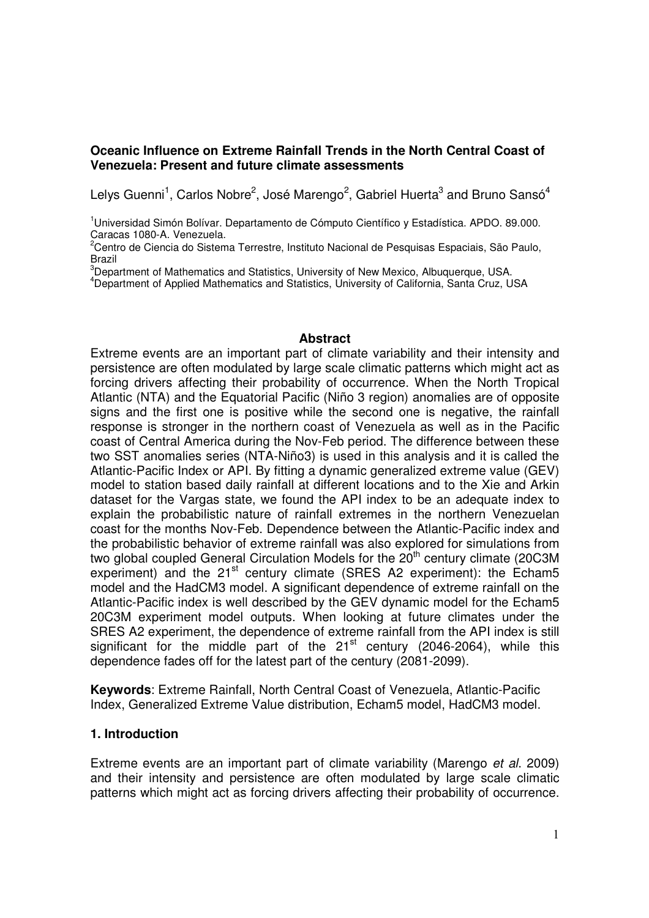## **Oceanic Influence on Extreme Rainfall Trends in the North Central Coast of Venezuela: Present and future climate assessments**

Lelys Guenni<sup>1</sup>, Carlos Nobre<sup>2</sup>, José Marengo<sup>2</sup>, Gabriel Huerta<sup>3</sup> and Bruno Sansó<sup>4</sup>

<sup>1</sup>Universidad Simón Bolívar. Departamento de Cómputo Científico y Estadística. APDO. 89.000. Caracas 1080-A. Venezuela.

 $^2$ Centro de Ciencia do Sistema Terrestre, Instituto Nacional de Pesquisas Espaciais, São Paulo, Brazil

 $3$ Department of Mathematics and Statistics, University of New Mexico, Albuquerque, USA.

<sup>4</sup>Department of Applied Mathematics and Statistics, University of California, Santa Cruz, USA

### **Abstract**

Extreme events are an important part of climate variability and their intensity and persistence are often modulated by large scale climatic patterns which might act as forcing drivers affecting their probability of occurrence. When the North Tropical Atlantic (NTA) and the Equatorial Pacific (Niño 3 region) anomalies are of opposite signs and the first one is positive while the second one is negative, the rainfall response is stronger in the northern coast of Venezuela as well as in the Pacific coast of Central America during the Nov-Feb period. The difference between these two SST anomalies series (NTA-Niño3) is used in this analysis and it is called the Atlantic-Pacific Index or API. By fitting a dynamic generalized extreme value (GEV) model to station based daily rainfall at different locations and to the Xie and Arkin dataset for the Vargas state, we found the API index to be an adequate index to explain the probabilistic nature of rainfall extremes in the northern Venezuelan coast for the months Nov-Feb. Dependence between the Atlantic-Pacific index and the probabilistic behavior of extreme rainfall was also explored for simulations from two global coupled General Circulation Models for the  $20<sup>th</sup>$  century climate (20C3M experiment) and the 21<sup>st</sup> century climate (SRES A2 experiment): the Echam5 model and the HadCM3 model. A significant dependence of extreme rainfall on the Atlantic-Pacific index is well described by the GEV dynamic model for the Echam5 20C3M experiment model outputs. When looking at future climates under the SRES A2 experiment, the dependence of extreme rainfall from the API index is still significant for the middle part of the  $21<sup>st</sup>$  century (2046-2064), while this dependence fades off for the latest part of the century (2081-2099).

**Keywords**: Extreme Rainfall, North Central Coast of Venezuela, Atlantic-Pacific Index, Generalized Extreme Value distribution, Echam5 model, HadCM3 model.

### **1. Introduction**

Extreme events are an important part of climate variability (Marengo et al. 2009) and their intensity and persistence are often modulated by large scale climatic patterns which might act as forcing drivers affecting their probability of occurrence.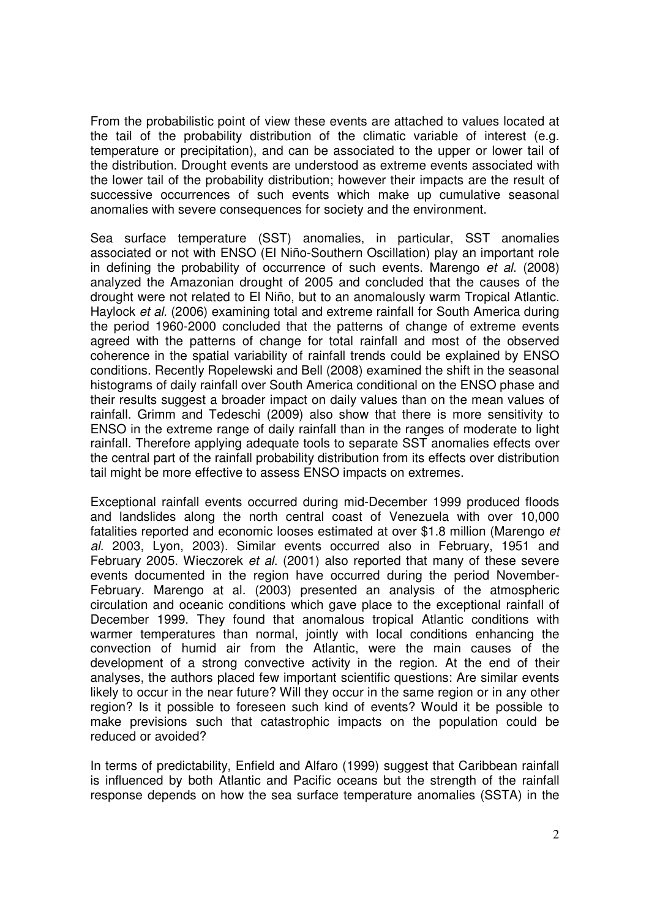From the probabilistic point of view these events are attached to values located at the tail of the probability distribution of the climatic variable of interest (e.g. temperature or precipitation), and can be associated to the upper or lower tail of the distribution. Drought events are understood as extreme events associated with the lower tail of the probability distribution; however their impacts are the result of successive occurrences of such events which make up cumulative seasonal anomalies with severe consequences for society and the environment.

Sea surface temperature (SST) anomalies, in particular, SST anomalies associated or not with ENSO (El Niño-Southern Oscillation) play an important role in defining the probability of occurrence of such events. Marengo et al. (2008) analyzed the Amazonian drought of 2005 and concluded that the causes of the drought were not related to El Niño, but to an anomalously warm Tropical Atlantic. Haylock et al. (2006) examining total and extreme rainfall for South America during the period 1960-2000 concluded that the patterns of change of extreme events agreed with the patterns of change for total rainfall and most of the observed coherence in the spatial variability of rainfall trends could be explained by ENSO conditions. Recently Ropelewski and Bell (2008) examined the shift in the seasonal histograms of daily rainfall over South America conditional on the ENSO phase and their results suggest a broader impact on daily values than on the mean values of rainfall. Grimm and Tedeschi (2009) also show that there is more sensitivity to ENSO in the extreme range of daily rainfall than in the ranges of moderate to light rainfall. Therefore applying adequate tools to separate SST anomalies effects over the central part of the rainfall probability distribution from its effects over distribution tail might be more effective to assess ENSO impacts on extremes.

Exceptional rainfall events occurred during mid-December 1999 produced floods and landslides along the north central coast of Venezuela with over 10,000 fatalities reported and economic looses estimated at over \$1.8 million (Marengo et al. 2003, Lyon, 2003). Similar events occurred also in February, 1951 and February 2005. Wieczorek et al. (2001) also reported that many of these severe events documented in the region have occurred during the period November-February. Marengo at al. (2003) presented an analysis of the atmospheric circulation and oceanic conditions which gave place to the exceptional rainfall of December 1999. They found that anomalous tropical Atlantic conditions with warmer temperatures than normal, jointly with local conditions enhancing the convection of humid air from the Atlantic, were the main causes of the development of a strong convective activity in the region. At the end of their analyses, the authors placed few important scientific questions: Are similar events likely to occur in the near future? Will they occur in the same region or in any other region? Is it possible to foreseen such kind of events? Would it be possible to make previsions such that catastrophic impacts on the population could be reduced or avoided?

In terms of predictability, Enfield and Alfaro (1999) suggest that Caribbean rainfall is influenced by both Atlantic and Pacific oceans but the strength of the rainfall response depends on how the sea surface temperature anomalies (SSTA) in the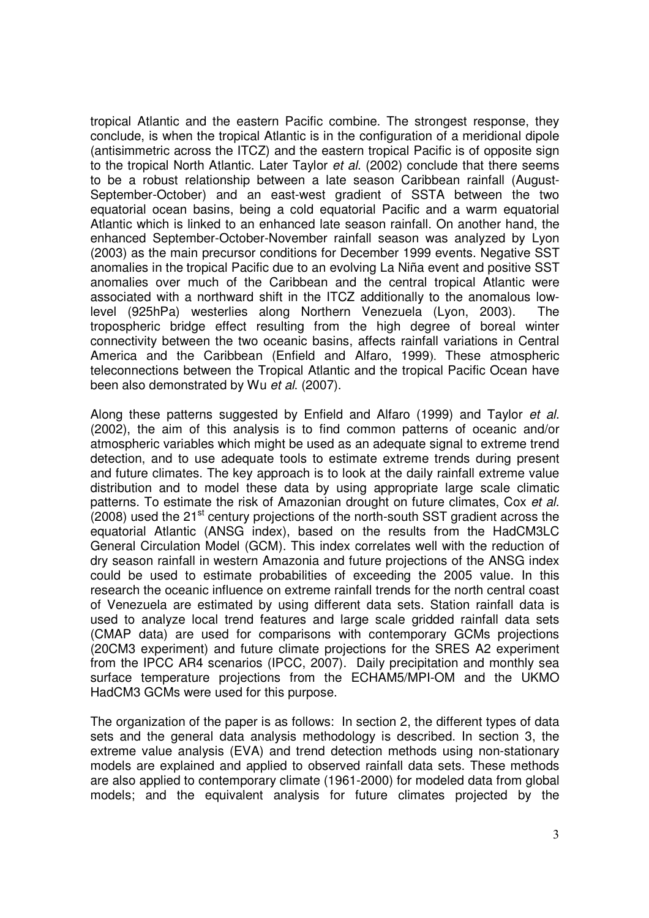tropical Atlantic and the eastern Pacific combine. The strongest response, they conclude, is when the tropical Atlantic is in the configuration of a meridional dipole (antisimmetric across the ITCZ) and the eastern tropical Pacific is of opposite sign to the tropical North Atlantic. Later Taylor et al. (2002) conclude that there seems to be a robust relationship between a late season Caribbean rainfall (August-September-October) and an east-west gradient of SSTA between the two equatorial ocean basins, being a cold equatorial Pacific and a warm equatorial Atlantic which is linked to an enhanced late season rainfall. On another hand, the enhanced September-October-November rainfall season was analyzed by Lyon (2003) as the main precursor conditions for December 1999 events. Negative SST anomalies in the tropical Pacific due to an evolving La Niña event and positive SST anomalies over much of the Caribbean and the central tropical Atlantic were associated with a northward shift in the ITCZ additionally to the anomalous lowlevel (925hPa) westerlies along Northern Venezuela (Lyon, 2003). The tropospheric bridge effect resulting from the high degree of boreal winter connectivity between the two oceanic basins, affects rainfall variations in Central America and the Caribbean (Enfield and Alfaro, 1999). These atmospheric teleconnections between the Tropical Atlantic and the tropical Pacific Ocean have been also demonstrated by Wu et al. (2007).

Along these patterns suggested by Enfield and Alfaro (1999) and Taylor et al. (2002), the aim of this analysis is to find common patterns of oceanic and/or atmospheric variables which might be used as an adequate signal to extreme trend detection, and to use adequate tools to estimate extreme trends during present and future climates. The key approach is to look at the daily rainfall extreme value distribution and to model these data by using appropriate large scale climatic patterns. To estimate the risk of Amazonian drought on future climates, Cox et al.  $(2008)$  used the 21<sup>st</sup> century projections of the north-south SST gradient across the equatorial Atlantic (ANSG index), based on the results from the HadCM3LC General Circulation Model (GCM). This index correlates well with the reduction of dry season rainfall in western Amazonia and future projections of the ANSG index could be used to estimate probabilities of exceeding the 2005 value. In this research the oceanic influence on extreme rainfall trends for the north central coast of Venezuela are estimated by using different data sets. Station rainfall data is used to analyze local trend features and large scale gridded rainfall data sets (CMAP data) are used for comparisons with contemporary GCMs projections (20CM3 experiment) and future climate projections for the SRES A2 experiment from the IPCC AR4 scenarios (IPCC, 2007). Daily precipitation and monthly sea surface temperature projections from the ECHAM5/MPI-OM and the UKMO HadCM3 GCMs were used for this purpose.

The organization of the paper is as follows: In section 2, the different types of data sets and the general data analysis methodology is described. In section 3, the extreme value analysis (EVA) and trend detection methods using non-stationary models are explained and applied to observed rainfall data sets. These methods are also applied to contemporary climate (1961-2000) for modeled data from global models; and the equivalent analysis for future climates projected by the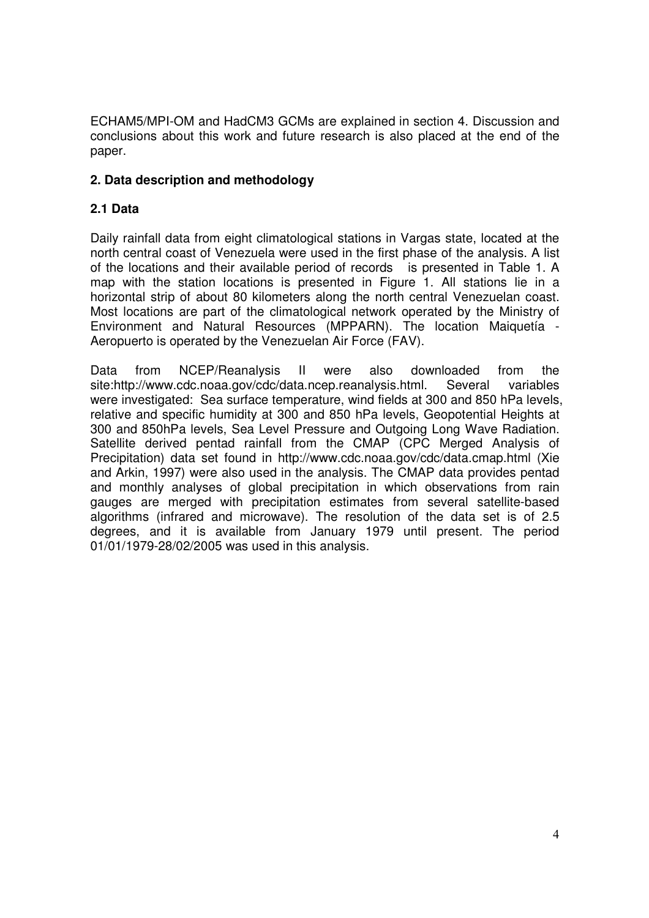ECHAM5/MPI-OM and HadCM3 GCMs are explained in section 4. Discussion and conclusions about this work and future research is also placed at the end of the paper.

# **2. Data description and methodology**

# **2.1 Data**

Daily rainfall data from eight climatological stations in Vargas state, located at the north central coast of Venezuela were used in the first phase of the analysis. A list of the locations and their available period of records is presented in Table 1. A map with the station locations is presented in Figure 1. All stations lie in a horizontal strip of about 80 kilometers along the north central Venezuelan coast. Most locations are part of the climatological network operated by the Ministry of Environment and Natural Resources (MPPARN). The location Maiquetía - Aeropuerto is operated by the Venezuelan Air Force (FAV).

Data from NCEP/Reanalysis II were also downloaded from the site:http://www.cdc.noaa.gov/cdc/data.ncep.reanalysis.html. Several variables were investigated: Sea surface temperature, wind fields at 300 and 850 hPa levels, relative and specific humidity at 300 and 850 hPa levels, Geopotential Heights at 300 and 850hPa levels, Sea Level Pressure and Outgoing Long Wave Radiation. Satellite derived pentad rainfall from the CMAP (CPC Merged Analysis of Precipitation) data set found in http://www.cdc.noaa.gov/cdc/data.cmap.html (Xie and Arkin, 1997) were also used in the analysis. The CMAP data provides pentad and monthly analyses of global precipitation in which observations from rain gauges are merged with precipitation estimates from several satellite-based algorithms (infrared and microwave). The resolution of the data set is of 2.5 degrees, and it is available from January 1979 until present. The period 01/01/1979-28/02/2005 was used in this analysis.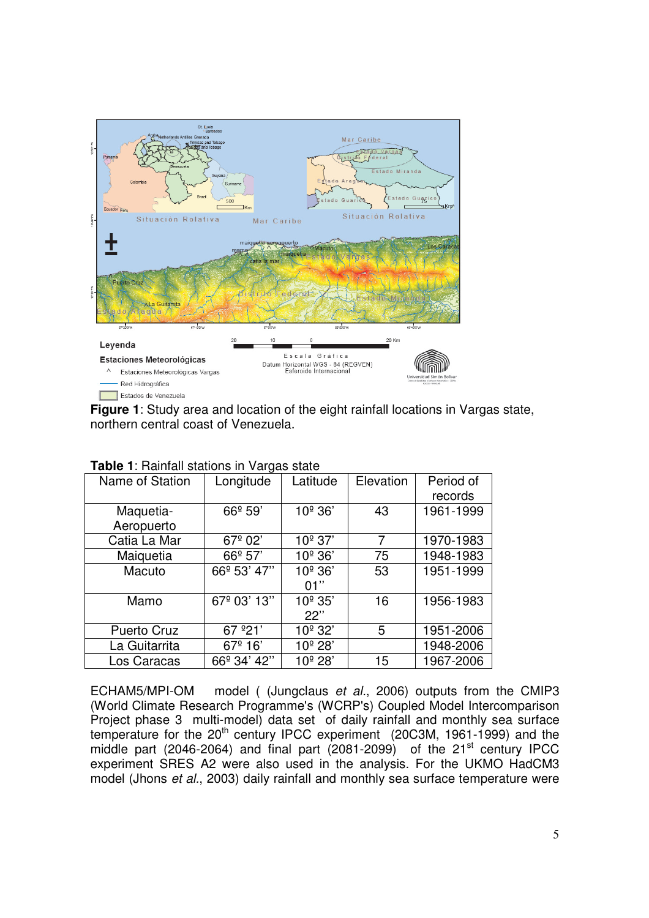

**Figure 1**: Study area and location of the eight rainfall locations in Vargas state, northern central coast of Venezuela.

| Name of Station    | Longitude           | Latitude            | Elevation | Period of<br>records |
|--------------------|---------------------|---------------------|-----------|----------------------|
| Maquetia-          | 66 <sup>°</sup> 59' | 10 <sup>°</sup> 36' | 43        | 1961-1999            |
| Aeropuerto         |                     |                     |           |                      |
| Catia La Mar       | 67 <sup>°</sup> 02' | $10^{\circ}$ 37'    | 7         | 1970-1983            |
| Maiquetia          | $66^{\circ}$ 57'    | 10 <sup>°</sup> 36' | 75        | 1948-1983            |
| Macuto             | 66º 53' 47"         | 10 <sup>°</sup> 36' | 53        | 1951-1999            |
|                    |                     | 01"                 |           |                      |
| Mamo               | 67º 03' 13"         | 10 <sup>°</sup> 35' | 16        | 1956-1983            |
|                    |                     | 22"                 |           |                      |
| <b>Puerto Cruz</b> | 67 °21'             | 10 <sup>°</sup> 32' | 5         | 1951-2006            |
| La Guitarrita      | 67 <sup>°</sup> 16' | 10 <sup>°</sup> 28' |           | 1948-2006            |
| Los Caracas        | 66º 34' 42"         | 10 <sup>°</sup> 28' | 15        | 1967-2006            |

### **Table 1: Rainfall stations in Vargas state**

ECHAM5/MPI-OM model ( (Jungclaus et al., 2006) outputs from the CMIP3 (World Climate Research Programme's (WCRP's) Coupled Model Intercomparison Project phase 3 multi-model) data set of daily rainfall and monthly sea surface temperature for the 20<sup>th</sup> century IPCC experiment (20C3M, 1961-1999) and the middle part (2046-2064) and final part  $(2081-2099)$  of the 21<sup>st</sup> century IPCC experiment SRES A2 were also used in the analysis. For the UKMO HadCM3 model (Jhons et al., 2003) daily rainfall and monthly sea surface temperature were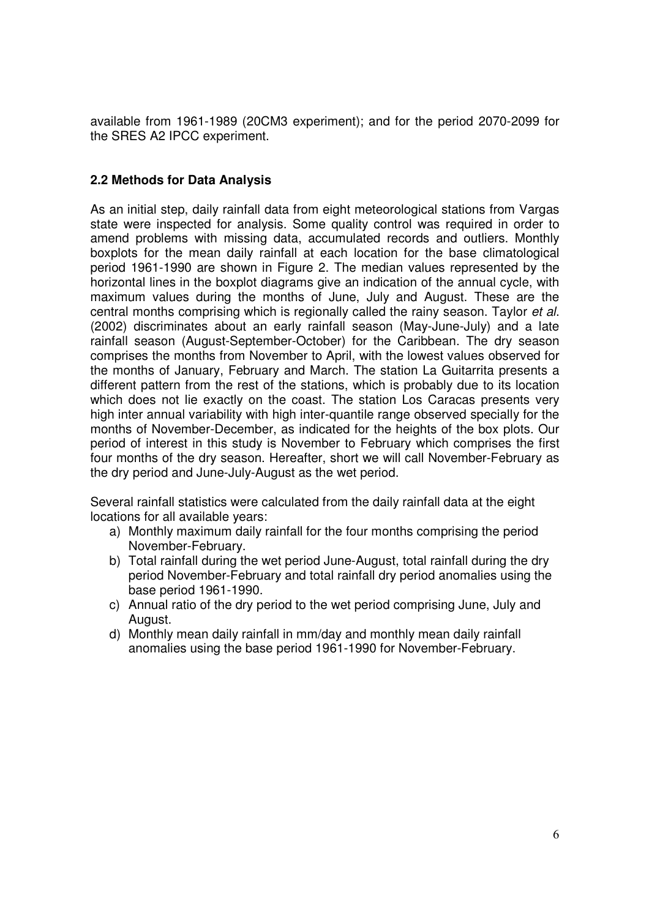available from 1961-1989 (20CM3 experiment); and for the period 2070-2099 for the SRES A2 IPCC experiment.

## **2.2 Methods for Data Analysis**

As an initial step, daily rainfall data from eight meteorological stations from Vargas state were inspected for analysis. Some quality control was required in order to amend problems with missing data, accumulated records and outliers. Monthly boxplots for the mean daily rainfall at each location for the base climatological period 1961-1990 are shown in Figure 2. The median values represented by the horizontal lines in the boxplot diagrams give an indication of the annual cycle, with maximum values during the months of June, July and August. These are the central months comprising which is regionally called the rainy season. Taylor et al. (2002) discriminates about an early rainfall season (May-June-July) and a late rainfall season (August-September-October) for the Caribbean. The dry season comprises the months from November to April, with the lowest values observed for the months of January, February and March. The station La Guitarrita presents a different pattern from the rest of the stations, which is probably due to its location which does not lie exactly on the coast. The station Los Caracas presents very high inter annual variability with high inter-quantile range observed specially for the months of November-December, as indicated for the heights of the box plots. Our period of interest in this study is November to February which comprises the first four months of the dry season. Hereafter, short we will call November-February as the dry period and June-July-August as the wet period.

Several rainfall statistics were calculated from the daily rainfall data at the eight locations for all available years:

- a) Monthly maximum daily rainfall for the four months comprising the period November-February.
- b) Total rainfall during the wet period June-August, total rainfall during the dry period November-February and total rainfall dry period anomalies using the base period 1961-1990.
- c) Annual ratio of the dry period to the wet period comprising June, July and August.
- d) Monthly mean daily rainfall in mm/day and monthly mean daily rainfall anomalies using the base period 1961-1990 for November-February.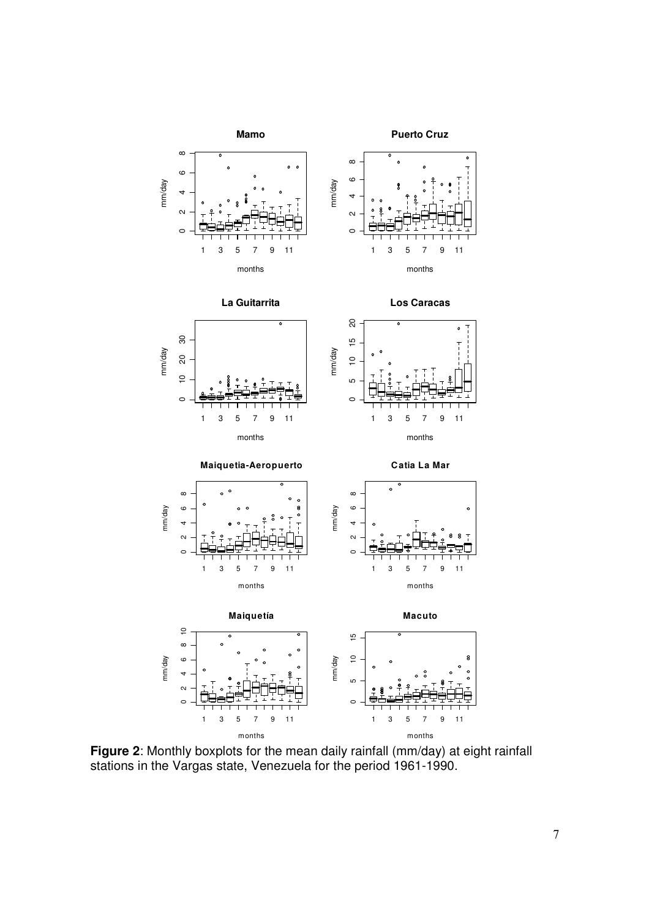

**Figure 2**: Monthly boxplots for the mean daily rainfall (mm/day) at eight rainfall stations in the Vargas state, Venezuela for the period 1961-1990.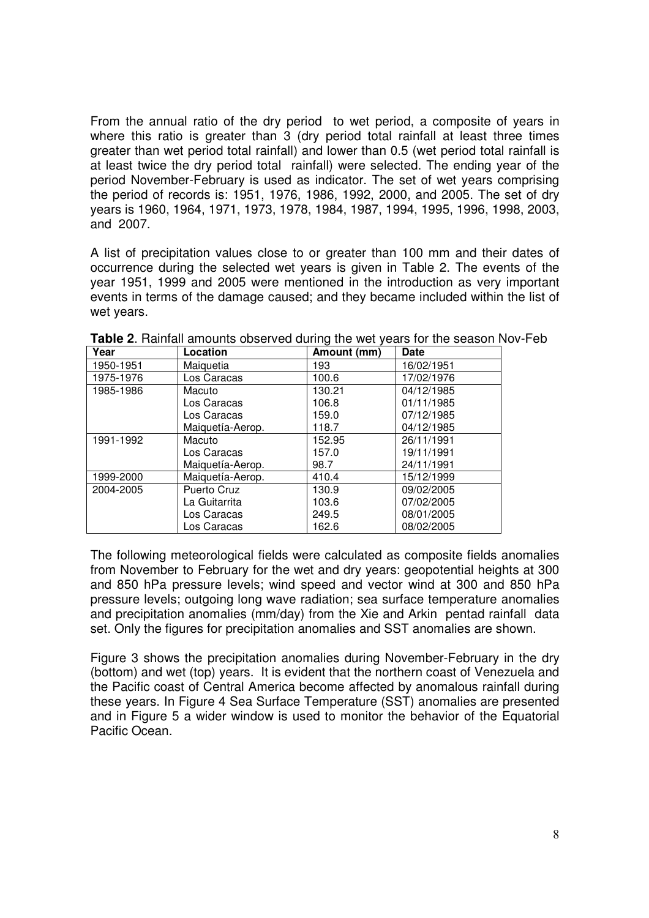From the annual ratio of the dry period to wet period, a composite of years in where this ratio is greater than 3 (dry period total rainfall at least three times greater than wet period total rainfall) and lower than 0.5 (wet period total rainfall is at least twice the dry period total rainfall) were selected. The ending year of the period November-February is used as indicator. The set of wet years comprising the period of records is: 1951, 1976, 1986, 1992, 2000, and 2005. The set of dry years is 1960, 1964, 1971, 1973, 1978, 1984, 1987, 1994, 1995, 1996, 1998, 2003, and 2007.

A list of precipitation values close to or greater than 100 mm and their dates of occurrence during the selected wet years is given in Table 2. The events of the year 1951, 1999 and 2005 were mentioned in the introduction as very important events in terms of the damage caused; and they became included within the list of wet years.

| Year      | Location         | Amount (mm) | <b>Date</b> |
|-----------|------------------|-------------|-------------|
| 1950-1951 | Maiquetia        | 193         | 16/02/1951  |
| 1975-1976 | Los Caracas      | 100.6       | 17/02/1976  |
| 1985-1986 | Macuto           | 130.21      | 04/12/1985  |
|           | Los Caracas      | 106.8       | 01/11/1985  |
|           | Los Caracas      | 159.0       | 07/12/1985  |
|           | Maiquetía-Aerop. | 118.7       | 04/12/1985  |
| 1991-1992 | Macuto           | 152.95      | 26/11/1991  |
|           | Los Caracas      | 157.0       | 19/11/1991  |
|           | Maiquetía-Aerop. | 98.7        | 24/11/1991  |
| 1999-2000 | Maiquetía-Aerop. | 410.4       | 15/12/1999  |
| 2004-2005 | Puerto Cruz      | 130.9       | 09/02/2005  |
|           | La Guitarrita    | 103.6       | 07/02/2005  |
|           | Los Caracas      | 249.5       | 08/01/2005  |
|           | Los Caracas      | 162.6       | 08/02/2005  |

**Table 2**. Rainfall amounts observed during the wet years for the season Nov-Feb

The following meteorological fields were calculated as composite fields anomalies from November to February for the wet and dry years: geopotential heights at 300 and 850 hPa pressure levels; wind speed and vector wind at 300 and 850 hPa pressure levels; outgoing long wave radiation; sea surface temperature anomalies and precipitation anomalies (mm/day) from the Xie and Arkin pentad rainfall data set. Only the figures for precipitation anomalies and SST anomalies are shown.

Figure 3 shows the precipitation anomalies during November-February in the dry (bottom) and wet (top) years. It is evident that the northern coast of Venezuela and the Pacific coast of Central America become affected by anomalous rainfall during these years. In Figure 4 Sea Surface Temperature (SST) anomalies are presented and in Figure 5 a wider window is used to monitor the behavior of the Equatorial Pacific Ocean.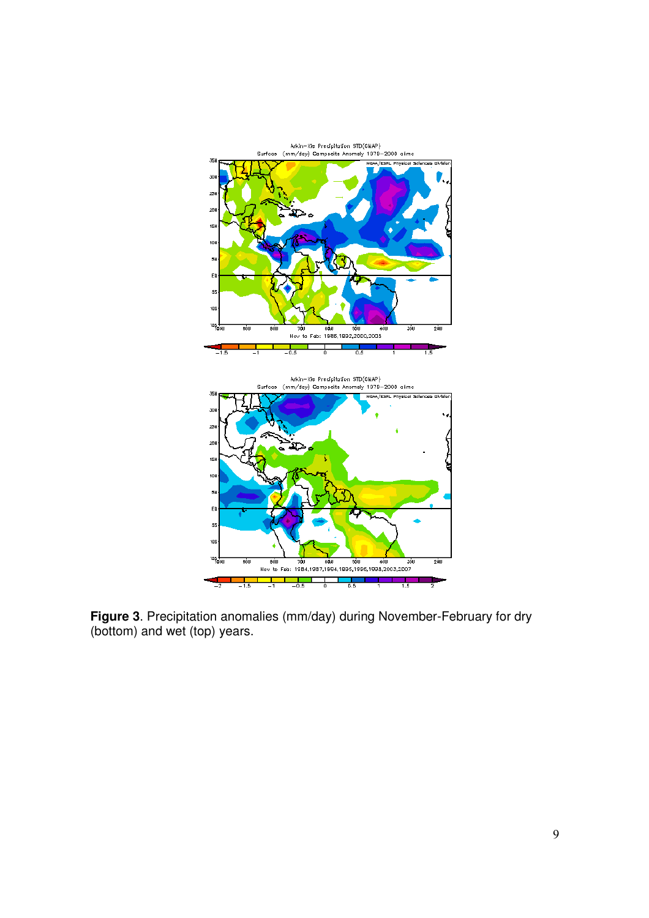

**Figure 3**. Precipitation anomalies (mm/day) during November-February for dry (bottom) and wet (top) years.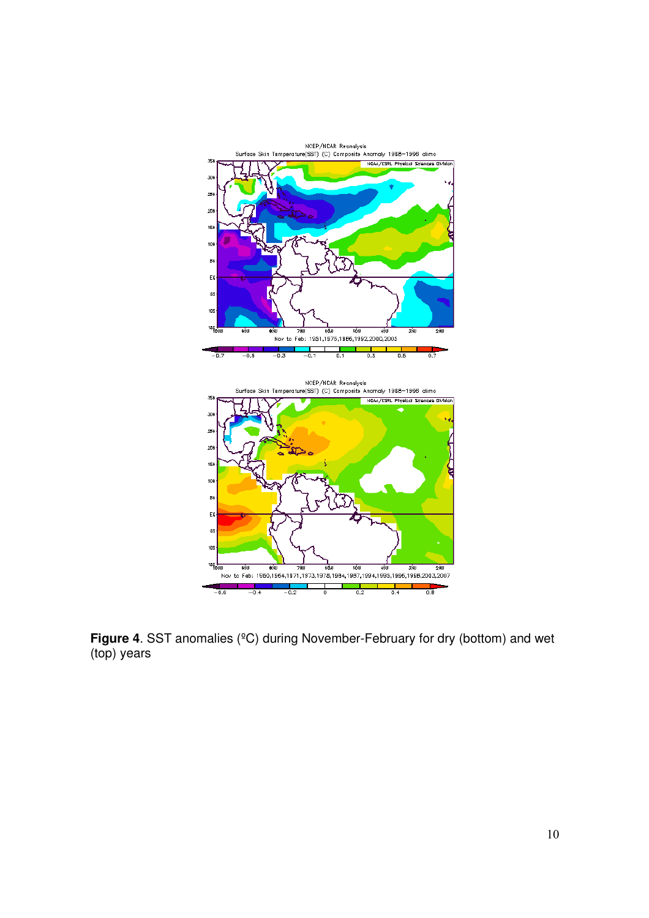

**Figure 4**. SST anomalies (ºC) during November-February for dry (bottom) and wet (top) years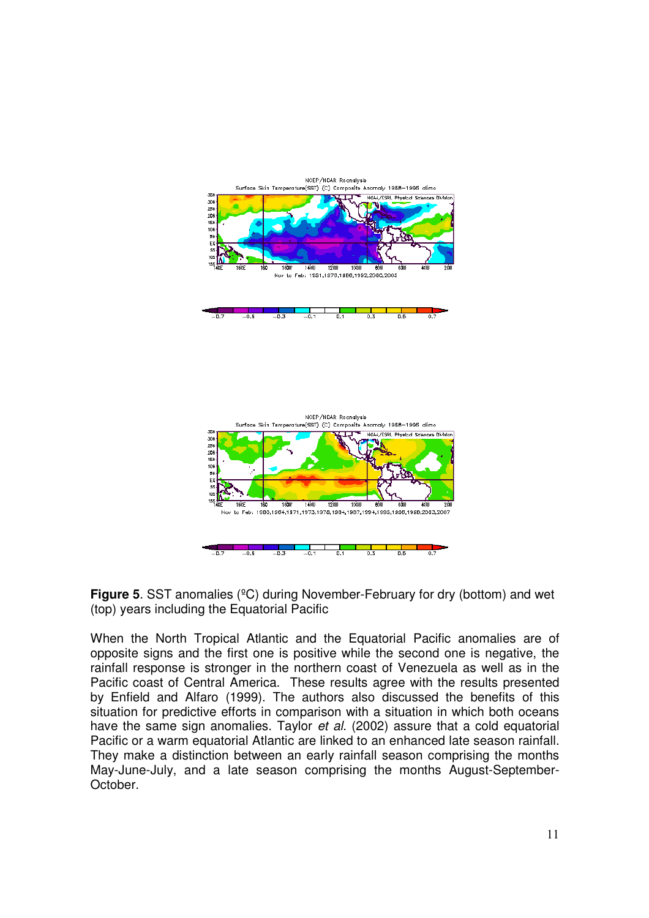

**Figure 5**. SST anomalies (°C) during November-February for dry (bottom) and wet (top) years including the Equatorial Pacific

When the North Tropical Atlantic and the Equatorial Pacific anomalies are of opposite signs and the first one is positive while the second one is negative, the rainfall response is stronger in the northern coast of Venezuela as well as in the Pacific coast of Central America. These results agree with the results presented by Enfield and Alfaro (1999). The authors also discussed the benefits of this situation for predictive efforts in comparison with a situation in which both oceans have the same sign anomalies. Taylor et al. (2002) assure that a cold equatorial Pacific or a warm equatorial Atlantic are linked to an enhanced late season rainfall. They make a distinction between an early rainfall season comprising the months May-June-July, and a late season comprising the months August-September-October.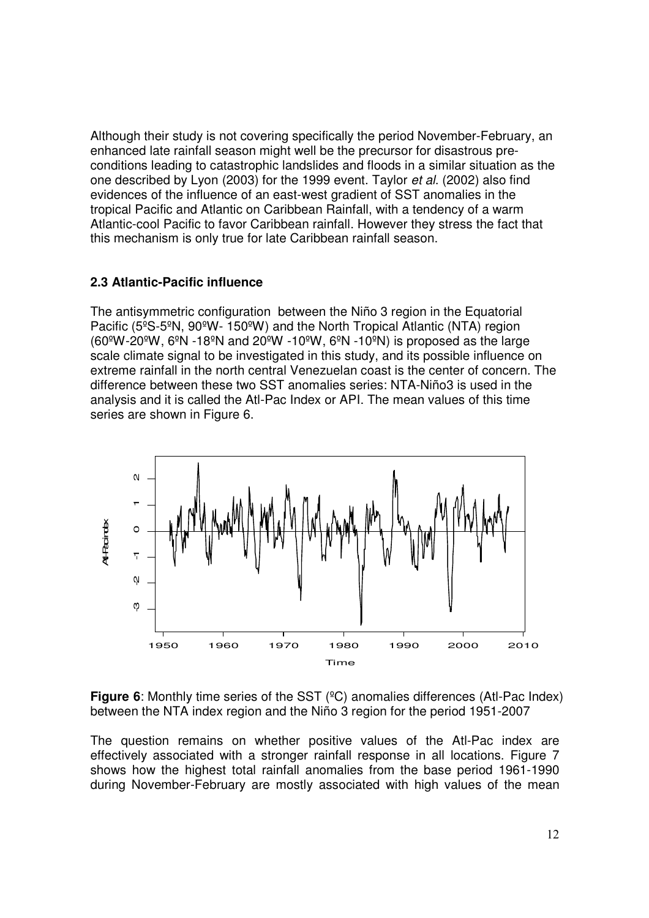Although their study is not covering specifically the period November-February, an enhanced late rainfall season might well be the precursor for disastrous preconditions leading to catastrophic landslides and floods in a similar situation as the one described by Lyon (2003) for the 1999 event. Taylor et al. (2002) also find evidences of the influence of an east-west gradient of SST anomalies in the tropical Pacific and Atlantic on Caribbean Rainfall, with a tendency of a warm Atlantic-cool Pacific to favor Caribbean rainfall. However they stress the fact that this mechanism is only true for late Caribbean rainfall season.

## **2.3 Atlantic-Pacific influence**

The antisymmetric configuration between the Niño 3 region in the Equatorial Pacific (5ºS-5ºN, 90ºW- 150ºW) and the North Tropical Atlantic (NTA) region  $(60^{\circ}W-20^{\circ}W, 6^{\circ}N-18^{\circ}N$  and  $20^{\circ}W-10^{\circ}W, 6^{\circ}N-10^{\circ}N)$  is proposed as the large scale climate signal to be investigated in this study, and its possible influence on extreme rainfall in the north central Venezuelan coast is the center of concern. The difference between these two SST anomalies series: NTA-Niño3 is used in the analysis and it is called the Atl-Pac Index or API. The mean values of this time series are shown in Figure 6.



**Figure 6**: Monthly time series of the SST (°C) anomalies differences (Atl-Pac Index) between the NTA index region and the Niño 3 region for the period 1951-2007

The question remains on whether positive values of the Atl-Pac index are effectively associated with a stronger rainfall response in all locations. Figure 7 shows how the highest total rainfall anomalies from the base period 1961-1990 during November-February are mostly associated with high values of the mean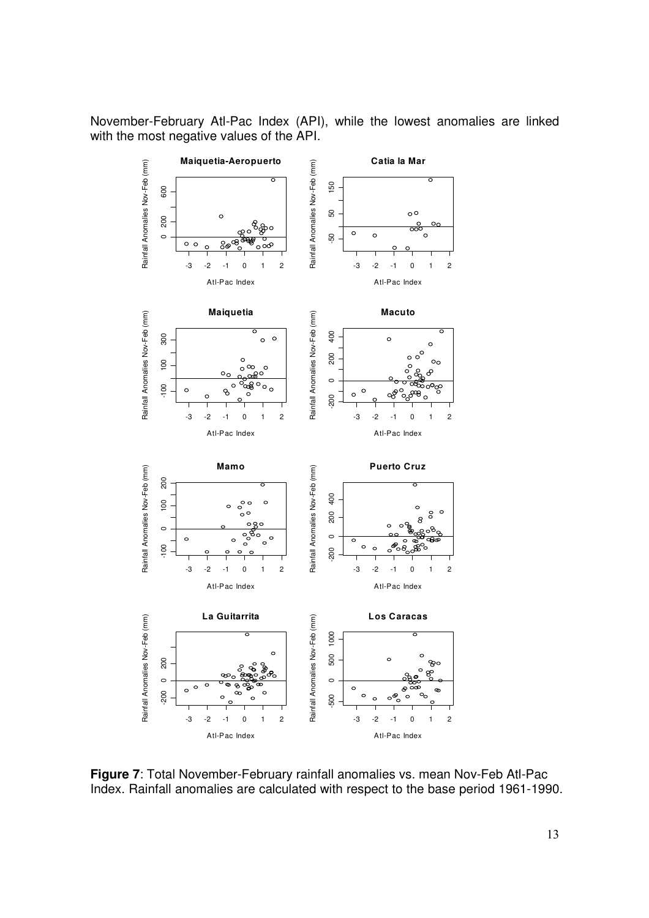November-February Atl-Pac Index (API), while the lowest anomalies are linked with the most negative values of the API.



**Figure 7**: Total November-February rainfall anomalies vs. mean Nov-Feb Atl-Pac Index. Rainfall anomalies are calculated with respect to the base period 1961-1990.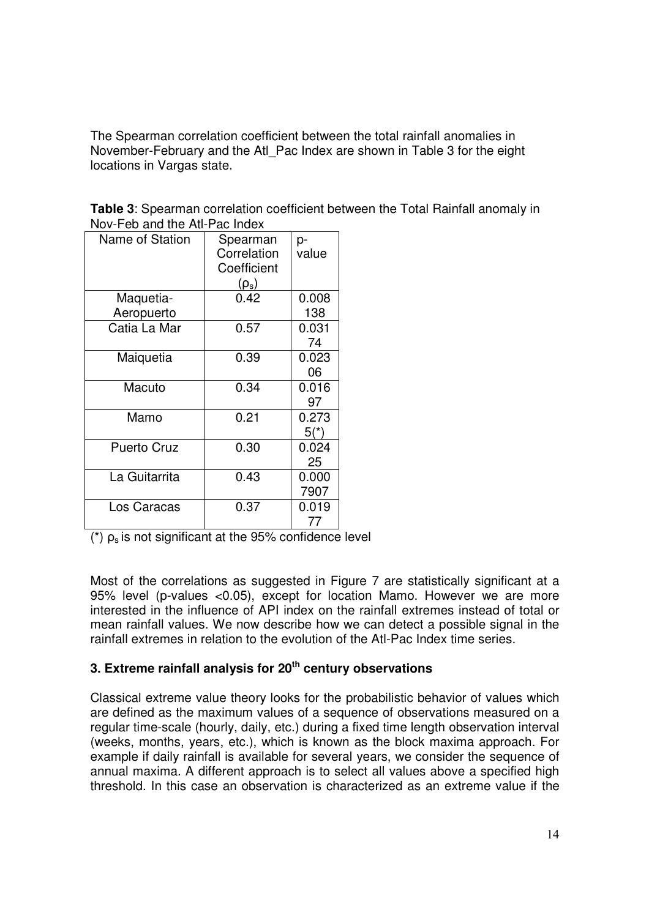The Spearman correlation coefficient between the total rainfall anomalies in November-February and the Atl\_Pac Index are shown in Table 3 for the eight locations in Vargas state.

| Name of Station            | Spearman<br>Correlation<br>Coefficient<br>$(\rho_{\rm s})$ | p-<br>value     |
|----------------------------|------------------------------------------------------------|-----------------|
| Maquetia-                  | 0.42                                                       | 0.008<br>138    |
| Aeropuerto<br>Catia La Mar | 0.57                                                       | 0.031<br>74     |
| Maiquetia                  | 0.39                                                       | 0.023<br>06     |
| Macuto                     | 0.34                                                       | 0.016<br>97     |
| Mamo                       | 0.21                                                       | 0.273<br>$5(*)$ |
| <b>Puerto Cruz</b>         | 0.30                                                       | 0.024<br>25     |
| La Guitarrita              | 0.43                                                       | 0.000<br>7907   |
| Los Caracas                | 0.37                                                       | 0.019<br>77     |

**Table 3**: Spearman correlation coefficient between the Total Rainfall anomaly in Nov-Feb and the Atl-Pac Index

 $(*)$   $\rho_s$  is not significant at the 95% confidence level

Most of the correlations as suggested in Figure 7 are statistically significant at a 95% level (p-values <0.05), except for location Mamo. However we are more interested in the influence of API index on the rainfall extremes instead of total or mean rainfall values. We now describe how we can detect a possible signal in the rainfall extremes in relation to the evolution of the Atl-Pac Index time series.

# **3. Extreme rainfall analysis for 20th century observations**

Classical extreme value theory looks for the probabilistic behavior of values which are defined as the maximum values of a sequence of observations measured on a regular time-scale (hourly, daily, etc.) during a fixed time length observation interval (weeks, months, years, etc.), which is known as the block maxima approach. For example if daily rainfall is available for several years, we consider the sequence of annual maxima. A different approach is to select all values above a specified high threshold. In this case an observation is characterized as an extreme value if the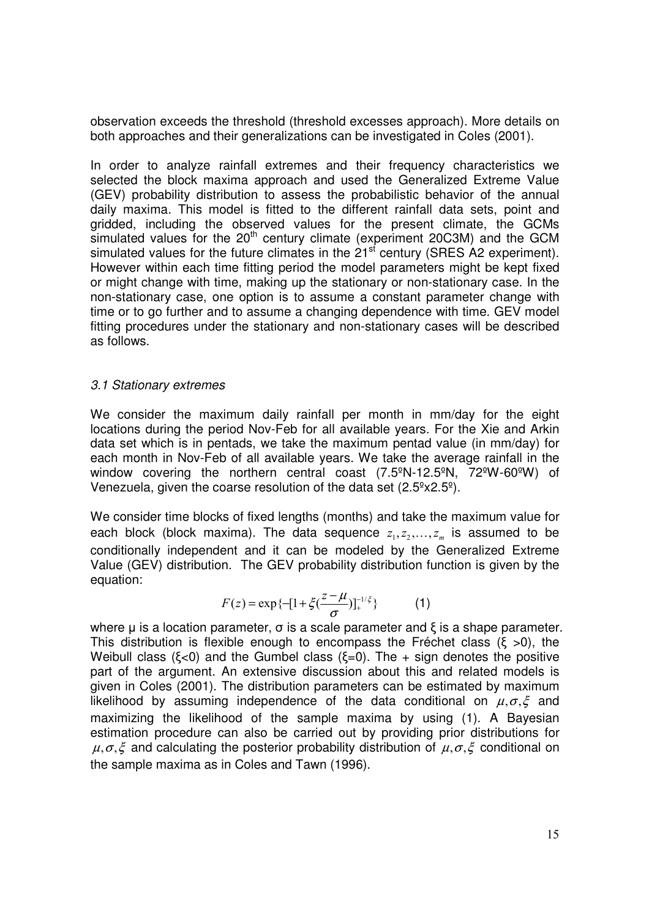observation exceeds the threshold (threshold excesses approach). More details on both approaches and their generalizations can be investigated in Coles (2001).

In order to analyze rainfall extremes and their frequency characteristics we selected the block maxima approach and used the Generalized Extreme Value (GEV) probability distribution to assess the probabilistic behavior of the annual daily maxima. This model is fitted to the different rainfall data sets, point and gridded, including the observed values for the present climate, the GCMs simulated values for the  $20<sup>th</sup>$  century climate (experiment 20C3M) and the GCM simulated values for the future climates in the  $21<sup>st</sup>$  century (SRES A2 experiment). However within each time fitting period the model parameters might be kept fixed or might change with time, making up the stationary or non-stationary case. In the non-stationary case, one option is to assume a constant parameter change with time or to go further and to assume a changing dependence with time. GEV model fitting procedures under the stationary and non-stationary cases will be described as follows.

### 3.1 Stationary extremes

We consider the maximum daily rainfall per month in mm/day for the eight locations during the period Nov-Feb for all available years. For the Xie and Arkin data set which is in pentads, we take the maximum pentad value (in mm/day) for each month in Nov-Feb of all available years. We take the average rainfall in the window covering the northern central coast (7.5ºN-12.5ºN, 72ºW-60ºW) of Venezuela, given the coarse resolution of the data set (2.5ºx2.5º).

We consider time blocks of fixed lengths (months) and take the maximum value for each block (block maxima). The data sequence  $z_1, z_2, \ldots, z_m$  is assumed to be conditionally independent and it can be modeled by the Generalized Extreme Value (GEV) distribution. The GEV probability distribution function is given by the equation:

$$
F(z) = \exp\{-[1 + \xi(\frac{z - \mu}{\sigma})]_+^{-1/\xi}\}\tag{1}
$$

where  $\mu$  is a location parameter,  $\sigma$  is a scale parameter and  $\xi$  is a shape parameter. This distribution is flexible enough to encompass the Fréchet class  $(ξ >0)$ , the Weibull class ( $\xi$ <0) and the Gumbel class ( $\xi$ =0). The + sign denotes the positive part of the argument. An extensive discussion about this and related models is given in Coles (2001). The distribution parameters can be estimated by maximum likelihood by assuming independence of the data conditional on  $\mu, \sigma, \xi$  and maximizing the likelihood of the sample maxima by using (1). A Bayesian estimation procedure can also be carried out by providing prior distributions for  $\mu, \sigma, \xi$  and calculating the posterior probability distribution of  $\mu, \sigma, \xi$  conditional on the sample maxima as in Coles and Tawn (1996).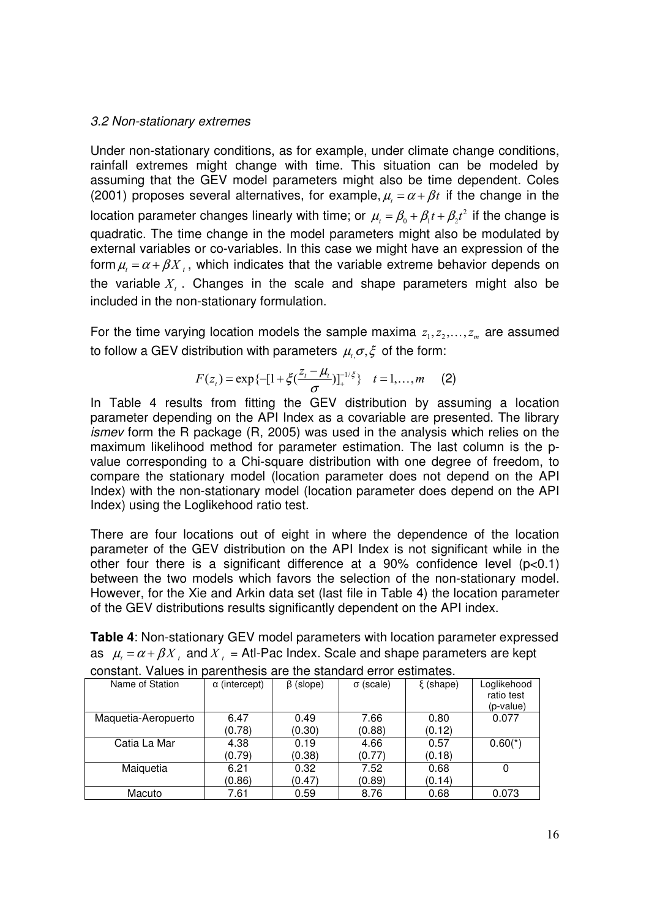### 3.2 Non-stationary extremes

Under non-stationary conditions, as for example, under climate change conditions, rainfall extremes might change with time. This situation can be modeled by assuming that the GEV model parameters might also be time dependent. Coles (2001) proposes several alternatives, for example,  $\mu_t = \alpha + \beta t$  if the change in the location parameter changes linearly with time; or  $\mu_t = \beta_0 + \beta_1 t + \beta_2 t^2$  if the change is quadratic. The time change in the model parameters might also be modulated by external variables or co-variables. In this case we might have an expression of the form  $\mu = \alpha + \beta X$ , which indicates that the variable extreme behavior depends on the variable  $X_t$  . Changes in the scale and shape parameters might also be included in the non-stationary formulation.

For the time varying location models the sample maxima  $z_1, z_2, \ldots, z_m$  are assumed to follow a GEV distribution with parameters  $\mu_{t,} \sigma, \xi$  of the form:

$$
F(z_t) = \exp\{-[1 + \xi(\frac{z_t - \mu_t}{\sigma})]_+^{-1/\xi}\} \quad t = 1, ..., m \quad (2)
$$

In Table 4 results from fitting the GEV distribution by assuming a location parameter depending on the API Index as a covariable are presented. The library ismev form the R package (R, 2005) was used in the analysis which relies on the maximum likelihood method for parameter estimation. The last column is the pvalue corresponding to a Chi-square distribution with one degree of freedom, to compare the stationary model (location parameter does not depend on the API Index) with the non-stationary model (location parameter does depend on the API Index) using the Loglikehood ratio test.

There are four locations out of eight in where the dependence of the location parameter of the GEV distribution on the API Index is not significant while in the other four there is a significant difference at a 90% confidence level  $(p<0.1)$ between the two models which favors the selection of the non-stationary model. However, for the Xie and Arkin data set (last file in Table 4) the location parameter of the GEV distributions results significantly dependent on the API index.

| <b>Table 4: Non-stationary GEV model parameters with location parameter expressed</b>          |  |  |  |
|------------------------------------------------------------------------------------------------|--|--|--|
| as $\mu_i = \alpha + \beta X$ , and $X_i =$ Atl-Pac Index. Scale and shape parameters are kept |  |  |  |

| Name of Station     | $\alpha$ (intercept) | $\beta$ (slope) | $\sigma$ (scale) | $\xi$ (shape) | Loglikehood |
|---------------------|----------------------|-----------------|------------------|---------------|-------------|
|                     |                      |                 |                  |               | ratio test  |
|                     |                      |                 |                  |               | (p-value)   |
| Maquetia-Aeropuerto | 6.47                 | 0.49            | 7.66             | 0.80          | 0.077       |
|                     | (0.78)               | (0.30)          | (0.88)           | (0.12)        |             |
| Catia La Mar        | 4.38                 | 0.19            | 4.66             | 0.57          | $0.60(*)$   |
|                     | (0.79)               | (0.38)          | (0.77)           | (0.18)        |             |
| Maiquetia           | 6.21                 | 0.32            | 7.52             | 0.68          |             |
|                     | (0.86)               | (0.47)          | (0.89)           | (0.14)        |             |
| Macuto              | 7.61                 | 0.59            | 8.76             | 0.68          | 0.073       |

| constant. Values in parenthesis are the standard error estimates. |  |  |  |  |  |  |  |  |  |
|-------------------------------------------------------------------|--|--|--|--|--|--|--|--|--|
|-------------------------------------------------------------------|--|--|--|--|--|--|--|--|--|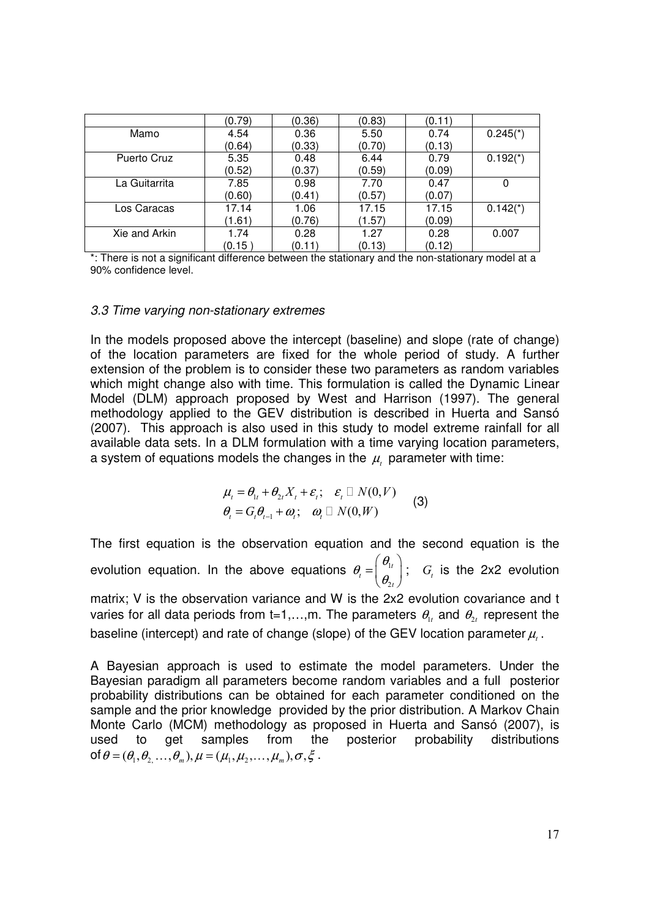|               | (0.79) | (0.36) | (0.83) | (0.11) |                        |
|---------------|--------|--------|--------|--------|------------------------|
| Mamo          | 4.54   | 0.36   | 5.50   | 0.74   | $0.245$ <sup>*</sup> ) |
|               | (0.64) | (0.33) | (0.70) | (0.13) |                        |
| Puerto Cruz   | 5.35   | 0.48   | 6.44   | 0.79   | $0.192(*)$             |
|               | (0.52) | (0.37) | (0.59) | (0.09) |                        |
| La Guitarrita | 7.85   | 0.98   | 7.70   | 0.47   |                        |
|               | (0.60) | (0.41) | (0.57) | (0.07) |                        |
| Los Caracas   | 17.14  | 1.06   | 17.15  | 17.15  | $0.142(*)$             |
|               | (1.61) | (0.76) | (1.57) | (0.09) |                        |
| Xie and Arkin | 1.74   | 0.28   | 1.27   | 0.28   | 0.007                  |
|               | (0.15) | (0.11) | (0.13) | (0.12) |                        |

\*: There is not a significant difference between the stationary and the non-stationary model at a 90% confidence level.

### 3.3 Time varying non-stationary extremes

In the models proposed above the intercept (baseline) and slope (rate of change) of the location parameters are fixed for the whole period of study. A further extension of the problem is to consider these two parameters as random variables which might change also with time. This formulation is called the Dynamic Linear Model (DLM) approach proposed by West and Harrison (1997). The general methodology applied to the GEV distribution is described in Huerta and Sansó (2007). This approach is also used in this study to model extreme rainfall for all available data sets. In a DLM formulation with a time varying location parameters, a system of equations models the changes in the  $\mu_t$  parameter with time:

$$
\mu_{t} = \theta_{1t} + \theta_{2t} X_{t} + \varepsilon_{t}; \quad \varepsilon_{t} \quad N(0, V) \n\theta_{t} = G_{t} \theta_{t-1} + \omega_{t}; \quad \omega_{t} \quad N(0, W)
$$
\n(3)

The first equation is the observation equation and the second equation is the evolution equation. In the above equations  $\theta_t = \begin{bmatrix} 0 & 1 \\ 0 & 1 \end{bmatrix}$ 2 t t t θ θ θ  $(\theta_{\iota})$  $=\begin{pmatrix} 1 \ \theta_{2t} \end{pmatrix}$ ;  $G_t$  is the 2x2 evolution matrix; V is the observation variance and W is the 2x2 evolution covariance and t varies for all data periods from t=1,...,m. The parameters  $\theta_{1t}$  and  $\theta_{2t}$  represent the baseline (intercept) and rate of change (slope) of the GEV location parameter  $\mu_{_t}$  .

A Bayesian approach is used to estimate the model parameters. Under the Bayesian paradigm all parameters become random variables and a full posterior probability distributions can be obtained for each parameter conditioned on the sample and the prior knowledge provided by the prior distribution. A Markov Chain Monte Carlo (MCM) methodology as proposed in Huerta and Sansó (2007), is used to get samples from the posterior probability distributions of  $\theta = (\theta_1, \theta_2, \dots, \theta_m), \mu = (\mu_1, \mu_2, \dots, \mu_m), \sigma, \xi$ .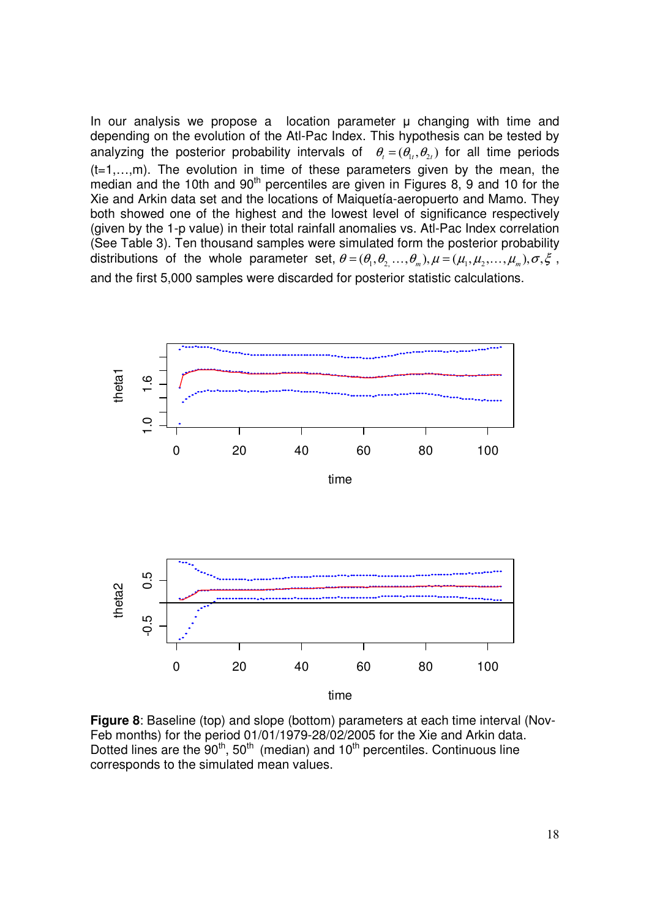In our analysis we propose a location parameter  $\mu$  changing with time and depending on the evolution of the Atl-Pac Index. This hypothesis can be tested by analyzing the posterior probability intervals of  $\theta_i = (\theta_i, \theta_i)$  for all time periods  $(t=1,...,m)$ . The evolution in time of these parameters given by the mean, the median and the 10th and  $90<sup>th</sup>$  percentiles are given in Figures 8, 9 and 10 for the Xie and Arkin data set and the locations of Maiquetía-aeropuerto and Mamo. They both showed one of the highest and the lowest level of significance respectively (given by the 1-p value) in their total rainfall anomalies vs. Atl-Pac Index correlation (See Table 3). Ten thousand samples were simulated form the posterior probability distributions of the whole parameter set,  $\theta = (\theta_1, \theta_2, ..., \theta_m), \mu = (\mu_1, \mu_2, ..., \mu_m), \sigma, \xi$ , and the first 5,000 samples were discarded for posterior statistic calculations.



**Figure 8**: Baseline (top) and slope (bottom) parameters at each time interval (Nov-Feb months) for the period 01/01/1979-28/02/2005 for the Xie and Arkin data. Dotted lines are the  $90<sup>th</sup>$ ,  $50<sup>th</sup>$  (median) and  $10<sup>th</sup>$  percentiles. Continuous line corresponds to the simulated mean values.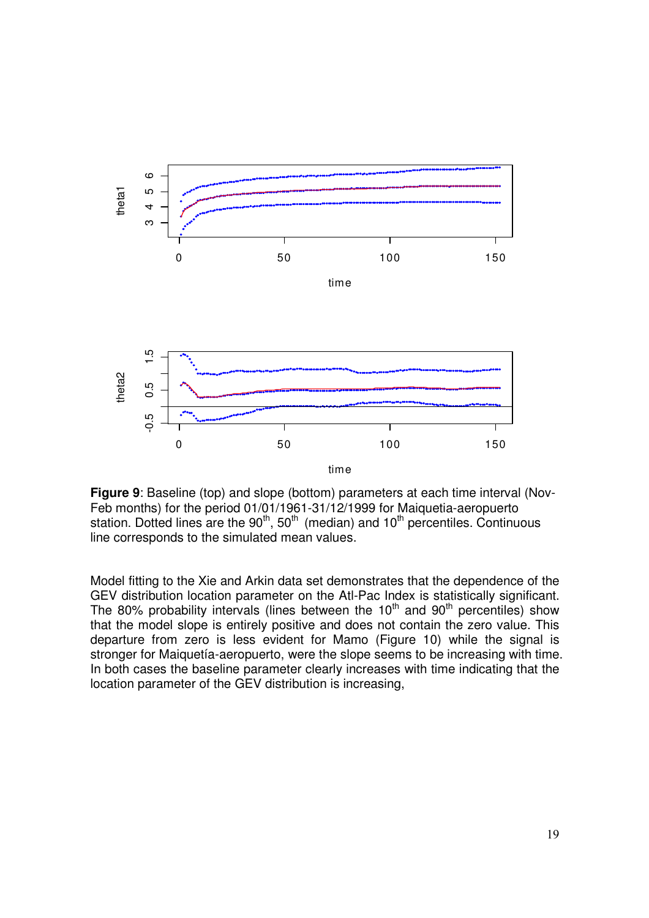

**Figure 9**: Baseline (top) and slope (bottom) parameters at each time interval (Nov-Feb months) for the period 01/01/1961-31/12/1999 for Maiquetia-aeropuerto station. Dotted lines are the 90<sup>th</sup>, 50<sup>th</sup> (median) and 10<sup>th</sup> percentiles. Continuous line corresponds to the simulated mean values.

Model fitting to the Xie and Arkin data set demonstrates that the dependence of the GEV distribution location parameter on the Atl-Pac Index is statistically significant. The 80% probability intervals (lines between the  $10<sup>th</sup>$  and  $90<sup>th</sup>$  percentiles) show that the model slope is entirely positive and does not contain the zero value. This departure from zero is less evident for Mamo (Figure 10) while the signal is stronger for Maiquetía-aeropuerto, were the slope seems to be increasing with time. In both cases the baseline parameter clearly increases with time indicating that the location parameter of the GEV distribution is increasing,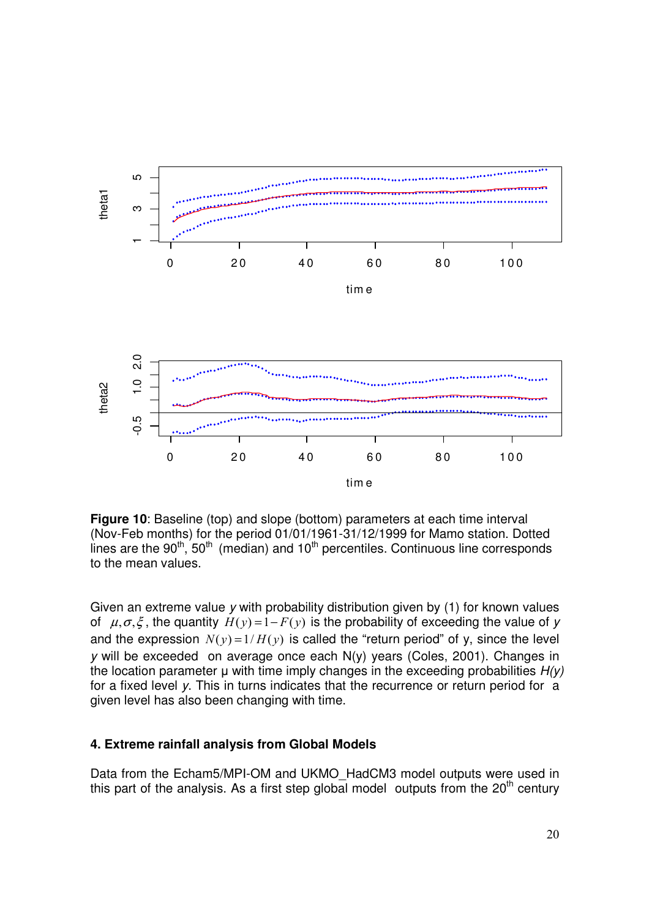

**Figure 10**: Baseline (top) and slope (bottom) parameters at each time interval (Nov-Feb months) for the period 01/01/1961-31/12/1999 for Mamo station. Dotted lines are the 90<sup>th</sup>, 50<sup>th</sup> (median) and 10<sup>th</sup> percentiles. Continuous line corresponds to the mean values.

Given an extreme value  $y$  with probability distribution given by (1) for known values of  $\mu, \sigma, \xi$ , the quantity  $H(y) = 1 - F(y)$  is the probability of exceeding the value of y and the expression  $N(y) = 1/H(y)$  is called the "return period" of y, since the level y will be exceeded on average once each N(y) years (Coles, 2001). Changes in the location parameter  $\mu$  with time imply changes in the exceeding probabilities  $H(y)$ for a fixed level y. This in turns indicates that the recurrence or return period for a given level has also been changing with time.

### **4. Extreme rainfall analysis from Global Models**

Data from the Echam5/MPI-OM and UKMO\_HadCM3 model outputs were used in this part of the analysis. As a first step global model outputs from the  $20<sup>th</sup>$  century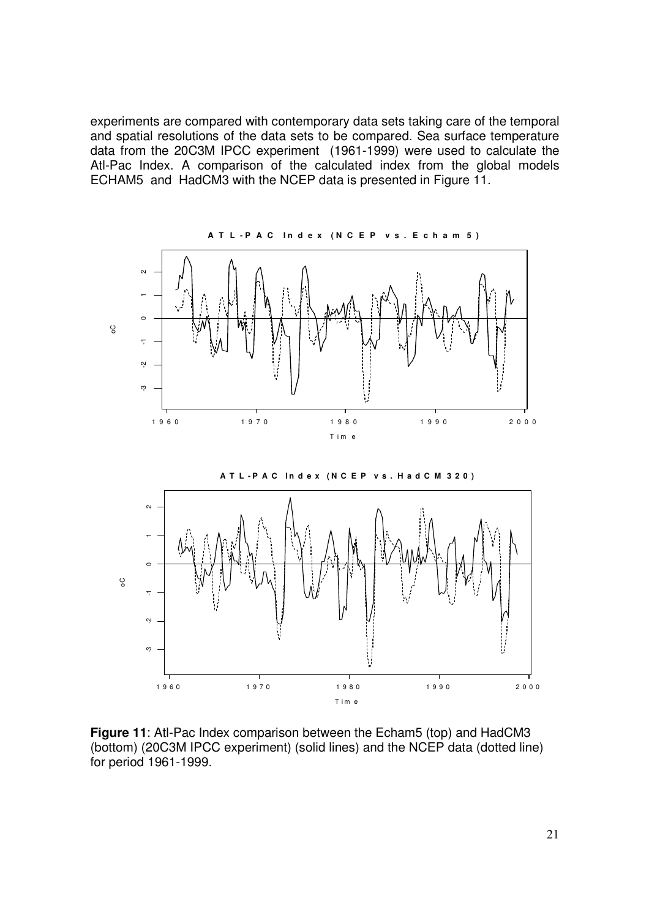experiments are compared with contemporary data sets taking care of the temporal and spatial resolutions of the data sets to be compared. Sea surface temperature data from the 20C3M IPCC experiment (1961-1999) were used to calculate the Atl-Pac Index. A comparison of the calculated index from the global models ECHAM5 and HadCM3 with the NCEP data is presented in Figure 11.





**Figure 11**: Atl-Pac Index comparison between the Echam5 (top) and HadCM3 (bottom) (20C3M IPCC experiment) (solid lines) and the NCEP data (dotted line) for period 1961-1999.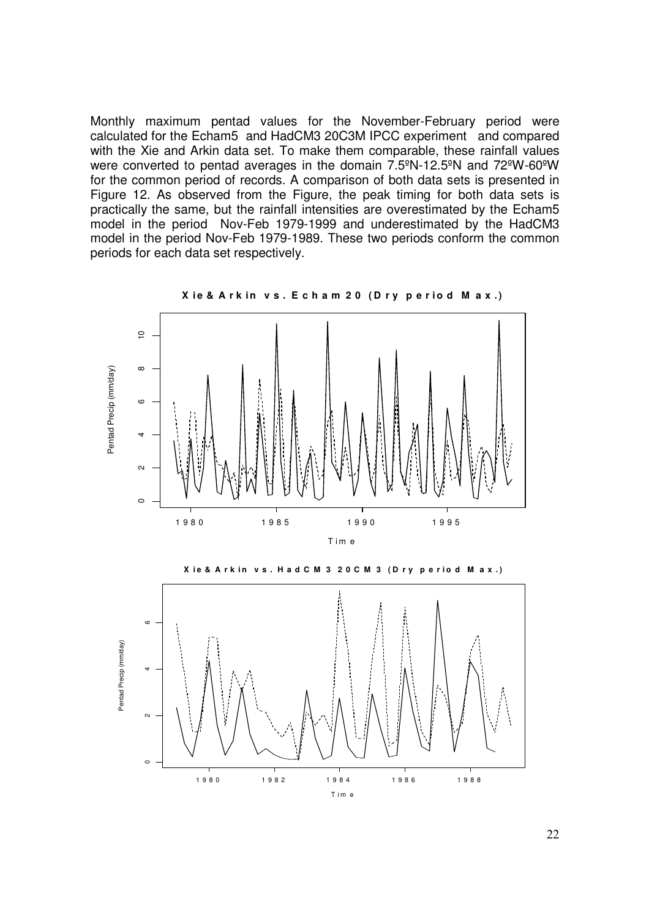Monthly maximum pentad values for the November-February period were calculated for the Echam5 and HadCM3 20C3M IPCC experiment and compared with the Xie and Arkin data set. To make them comparable, these rainfall values were converted to pentad averages in the domain 7.5ºN-12.5ºN and 72ºW-60ºW for the common period of records. A comparison of both data sets is presented in Figure 12. As observed from the Figure, the peak timing for both data sets is practically the same, but the rainfall intensities are overestimated by the Echam5 model in the period Nov-Feb 1979-1999 and underestimated by the HadCM3 model in the period Nov-Feb 1979-1989. These two periods conform the common periods for each data set respectively.



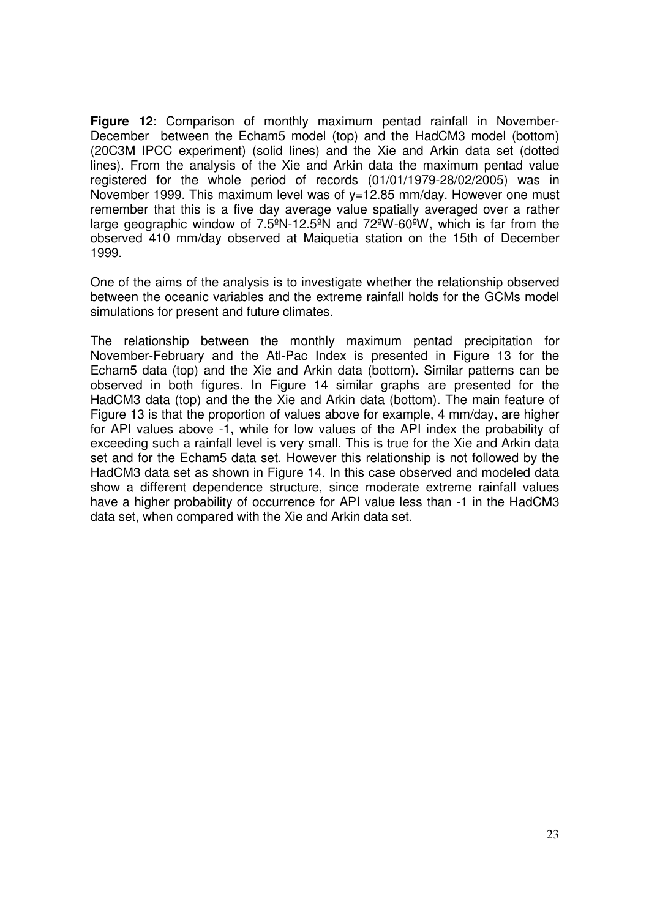**Figure 12**: Comparison of monthly maximum pentad rainfall in November-December between the Echam5 model (top) and the HadCM3 model (bottom) (20C3M IPCC experiment) (solid lines) and the Xie and Arkin data set (dotted lines). From the analysis of the Xie and Arkin data the maximum pentad value registered for the whole period of records (01/01/1979-28/02/2005) was in November 1999. This maximum level was of y=12.85 mm/day. However one must remember that this is a five day average value spatially averaged over a rather large geographic window of  $7.5^{\circ}$ N-12.5<sup>o</sup>N and  $72^{\circ}$ W-60<sup>o</sup>W, which is far from the observed 410 mm/day observed at Maiquetia station on the 15th of December 1999.

One of the aims of the analysis is to investigate whether the relationship observed between the oceanic variables and the extreme rainfall holds for the GCMs model simulations for present and future climates.

The relationship between the monthly maximum pentad precipitation for November-February and the Atl-Pac Index is presented in Figure 13 for the Echam5 data (top) and the Xie and Arkin data (bottom). Similar patterns can be observed in both figures. In Figure 14 similar graphs are presented for the HadCM3 data (top) and the the Xie and Arkin data (bottom). The main feature of Figure 13 is that the proportion of values above for example, 4 mm/day, are higher for API values above -1, while for low values of the API index the probability of exceeding such a rainfall level is very small. This is true for the Xie and Arkin data set and for the Echam5 data set. However this relationship is not followed by the HadCM3 data set as shown in Figure 14. In this case observed and modeled data show a different dependence structure, since moderate extreme rainfall values have a higher probability of occurrence for API value less than -1 in the HadCM3 data set, when compared with the Xie and Arkin data set.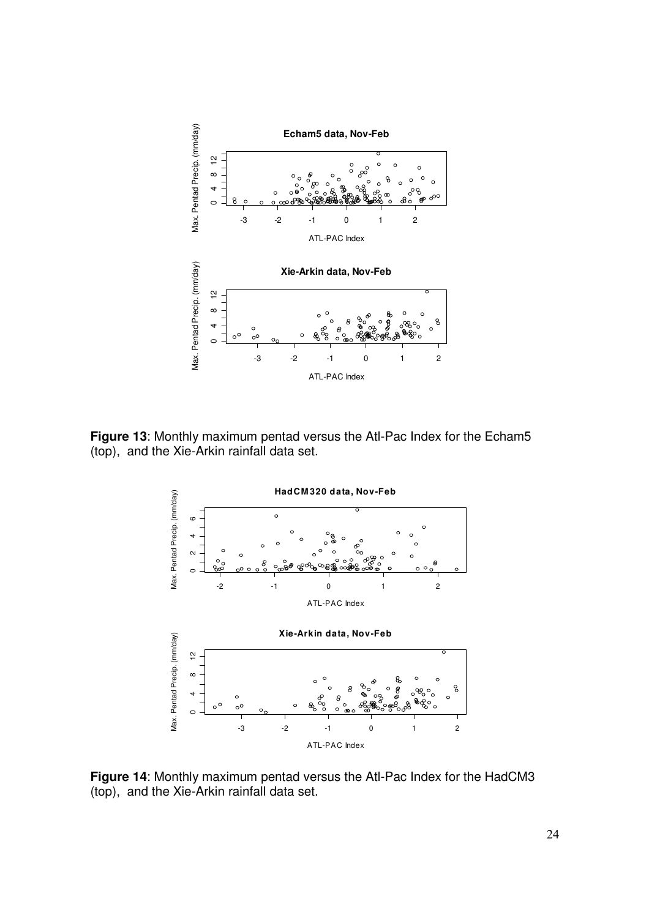

**Figure 13**: Monthly maximum pentad versus the Atl-Pac Index for the Echam5 (top), and the Xie-Arkin rainfall data set.



**Figure 14**: Monthly maximum pentad versus the Atl-Pac Index for the HadCM3 (top), and the Xie-Arkin rainfall data set.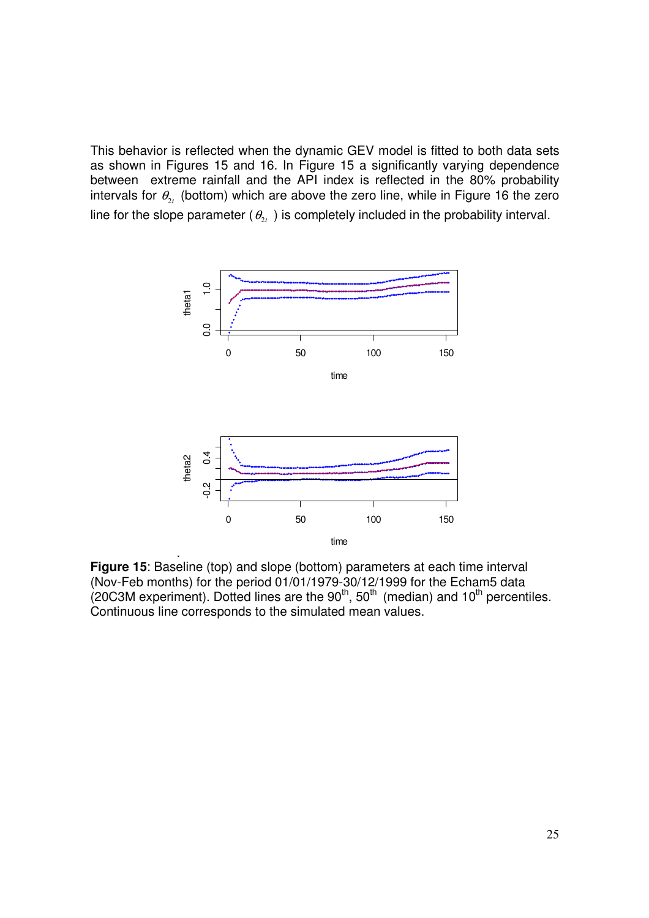This behavior is reflected when the dynamic GEV model is fitted to both data sets as shown in Figures 15 and 16. In Figure 15 a significantly varying dependence between extreme rainfall and the API index is reflected in the 80% probability intervals for  $\theta_{2t}$  (bottom) which are above the zero line, while in Figure 16 the zero line for the slope parameter ( $\theta_{2t}$  ) is completely included in the probability interval.



**Figure 15**: Baseline (top) and slope (bottom) parameters at each time interval (Nov-Feb months) for the period 01/01/1979-30/12/1999 for the Echam5 data (20C3M experiment). Dotted lines are the  $90<sup>th</sup>$ , 50<sup>th</sup> (median) and 10<sup>th</sup> percentiles. Continuous line corresponds to the simulated mean values.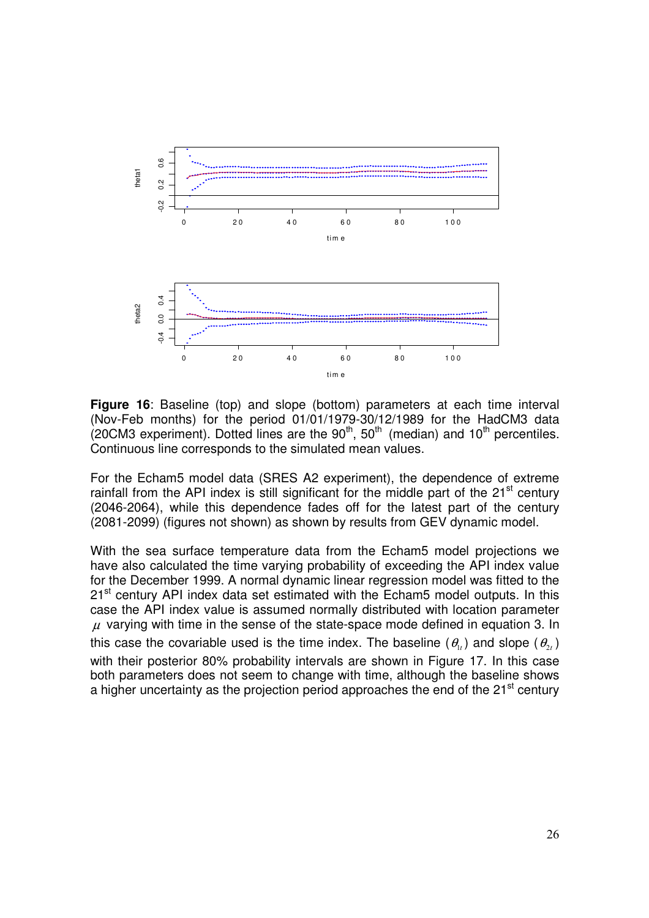

**Figure 16**: Baseline (top) and slope (bottom) parameters at each time interval (Nov-Feb months) for the period 01/01/1979-30/12/1989 for the HadCM3 data  $(20CM3$  experiment). Dotted lines are the  $90<sup>th</sup>$ , 50<sup>th</sup> (median) and 10<sup>th</sup> percentiles. Continuous line corresponds to the simulated mean values.

For the Echam5 model data (SRES A2 experiment), the dependence of extreme rainfall from the API index is still significant for the middle part of the  $21<sup>st</sup>$  century (2046-2064), while this dependence fades off for the latest part of the century (2081-2099) (figures not shown) as shown by results from GEV dynamic model.

With the sea surface temperature data from the Echam5 model projections we have also calculated the time varying probability of exceeding the API index value for the December 1999. A normal dynamic linear regression model was fitted to the 21<sup>st</sup> century API index data set estimated with the Echam5 model outputs. In this case the API index value is assumed normally distributed with location parameter  $\mu$  varying with time in the sense of the state-space mode defined in equation 3. In this case the covariable used is the time index. The baseline  $(\theta_{1t})$  and slope  $(\theta_{2t})$ with their posterior 80% probability intervals are shown in Figure 17. In this case both parameters does not seem to change with time, although the baseline shows a higher uncertainty as the projection period approaches the end of the 21<sup>st</sup> century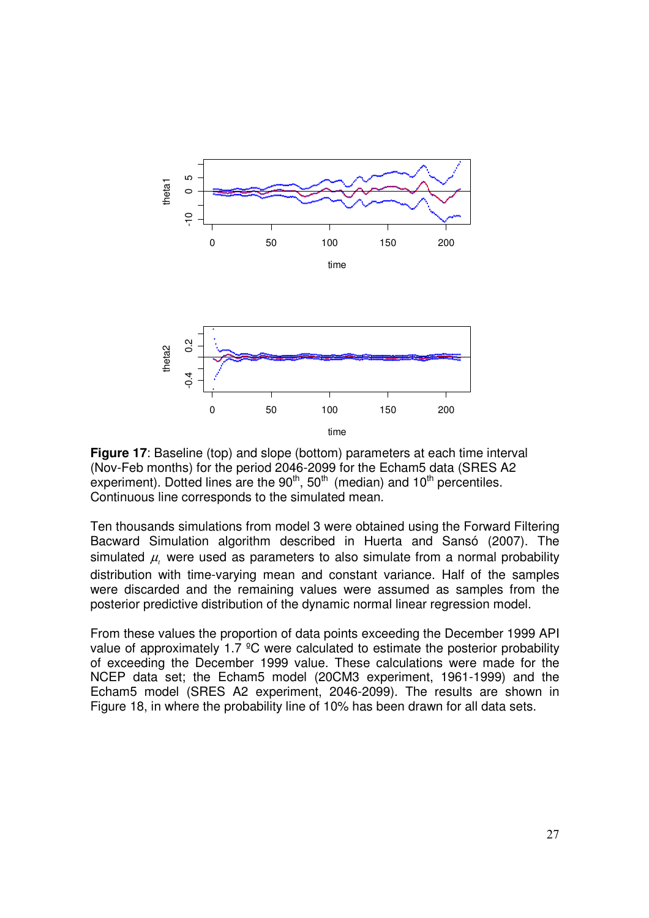

**Figure 17**: Baseline (top) and slope (bottom) parameters at each time interval (Nov-Feb months) for the period 2046-2099 for the Echam5 data (SRES A2 experiment). Dotted lines are the  $90<sup>th</sup>$ , 50<sup>th</sup> (median) and 10<sup>th</sup> percentiles. Continuous line corresponds to the simulated mean.

Ten thousands simulations from model 3 were obtained using the Forward Filtering Bacward Simulation algorithm described in Huerta and Sansó (2007). The simulated  $\mu$ , were used as parameters to also simulate from a normal probability distribution with time-varying mean and constant variance. Half of the samples were discarded and the remaining values were assumed as samples from the posterior predictive distribution of the dynamic normal linear regression model.

From these values the proportion of data points exceeding the December 1999 API value of approximately 1.7 ºC were calculated to estimate the posterior probability of exceeding the December 1999 value. These calculations were made for the NCEP data set; the Echam5 model (20CM3 experiment, 1961-1999) and the Echam5 model (SRES A2 experiment, 2046-2099). The results are shown in Figure 18, in where the probability line of 10% has been drawn for all data sets.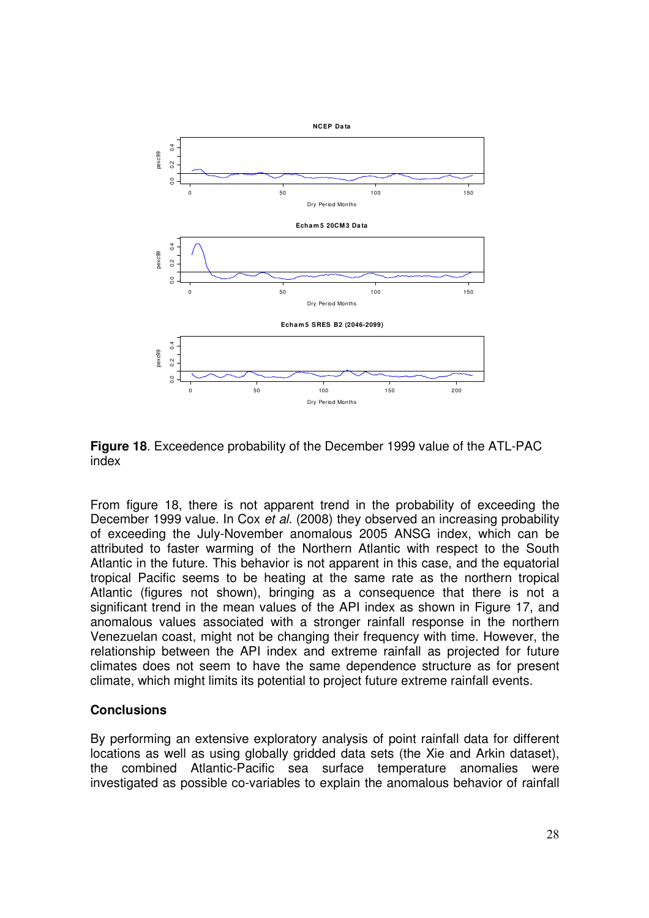

**Figure 18**. Exceedence probability of the December 1999 value of the ATL-PAC index

From figure 18, there is not apparent trend in the probability of exceeding the December 1999 value. In Cox et al. (2008) they observed an increasing probability of exceeding the July-November anomalous 2005 ANSG index, which can be attributed to faster warming of the Northern Atlantic with respect to the South Atlantic in the future. This behavior is not apparent in this case, and the equatorial tropical Pacific seems to be heating at the same rate as the northern tropical Atlantic (figures not shown), bringing as a consequence that there is not a significant trend in the mean values of the API index as shown in Figure 17, and anomalous values associated with a stronger rainfall response in the northern Venezuelan coast, might not be changing their frequency with time. However, the relationship between the API index and extreme rainfall as projected for future climates does not seem to have the same dependence structure as for present climate, which might limits its potential to project future extreme rainfall events.

### **Conclusions**

By performing an extensive exploratory analysis of point rainfall data for different locations as well as using globally gridded data sets (the Xie and Arkin dataset), the combined Atlantic-Pacific sea surface temperature anomalies were investigated as possible co-variables to explain the anomalous behavior of rainfall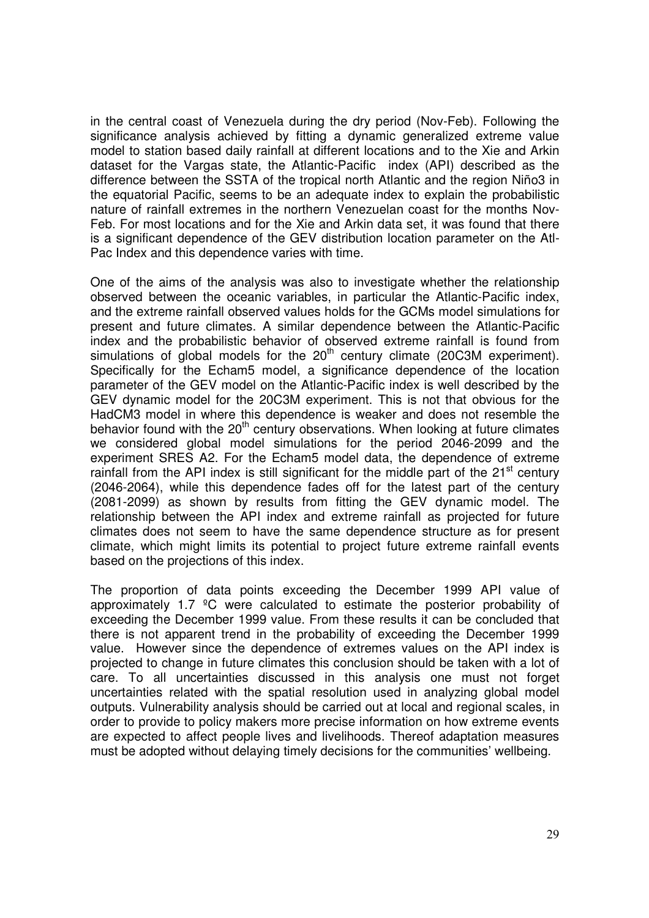in the central coast of Venezuela during the dry period (Nov-Feb). Following the significance analysis achieved by fitting a dynamic generalized extreme value model to station based daily rainfall at different locations and to the Xie and Arkin dataset for the Vargas state, the Atlantic-Pacific index (API) described as the difference between the SSTA of the tropical north Atlantic and the region Niño3 in the equatorial Pacific, seems to be an adequate index to explain the probabilistic nature of rainfall extremes in the northern Venezuelan coast for the months Nov-Feb. For most locations and for the Xie and Arkin data set, it was found that there is a significant dependence of the GEV distribution location parameter on the Atl-Pac Index and this dependence varies with time.

One of the aims of the analysis was also to investigate whether the relationship observed between the oceanic variables, in particular the Atlantic-Pacific index, and the extreme rainfall observed values holds for the GCMs model simulations for present and future climates. A similar dependence between the Atlantic-Pacific index and the probabilistic behavior of observed extreme rainfall is found from simulations of global models for the  $20<sup>th</sup>$  century climate (20C3M experiment). Specifically for the Echam5 model, a significance dependence of the location parameter of the GEV model on the Atlantic-Pacific index is well described by the GEV dynamic model for the 20C3M experiment. This is not that obvious for the HadCM3 model in where this dependence is weaker and does not resemble the behavior found with the  $20<sup>th</sup>$  century observations. When looking at future climates we considered global model simulations for the period 2046-2099 and the experiment SRES A2. For the Echam5 model data, the dependence of extreme rainfall from the API index is still significant for the middle part of the 21<sup>st</sup> century (2046-2064), while this dependence fades off for the latest part of the century (2081-2099) as shown by results from fitting the GEV dynamic model. The relationship between the API index and extreme rainfall as projected for future climates does not seem to have the same dependence structure as for present climate, which might limits its potential to project future extreme rainfall events based on the projections of this index.

The proportion of data points exceeding the December 1999 API value of approximately 1.7 ºC were calculated to estimate the posterior probability of exceeding the December 1999 value. From these results it can be concluded that there is not apparent trend in the probability of exceeding the December 1999 value. However since the dependence of extremes values on the API index is projected to change in future climates this conclusion should be taken with a lot of care. To all uncertainties discussed in this analysis one must not forget uncertainties related with the spatial resolution used in analyzing global model outputs. Vulnerability analysis should be carried out at local and regional scales, in order to provide to policy makers more precise information on how extreme events are expected to affect people lives and livelihoods. Thereof adaptation measures must be adopted without delaying timely decisions for the communities' wellbeing.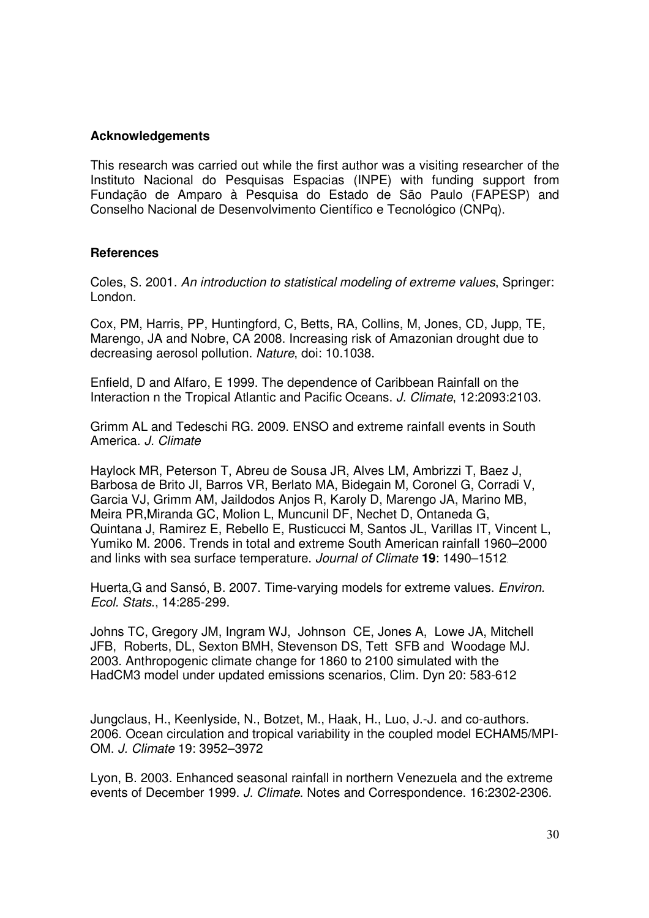## **Acknowledgements**

This research was carried out while the first author was a visiting researcher of the Instituto Nacional do Pesquisas Espacias (INPE) with funding support from Fundação de Amparo à Pesquisa do Estado de São Paulo (FAPESP) and Conselho Nacional de Desenvolvimento Científico e Tecnológico (CNPq).

### **References**

Coles, S. 2001. An introduction to statistical modeling of extreme values, Springer: London.

Cox, PM, Harris, PP, Huntingford, C, Betts, RA, Collins, M, Jones, CD, Jupp, TE, Marengo, JA and Nobre, CA 2008. Increasing risk of Amazonian drought due to decreasing aerosol pollution. Nature, doi: 10.1038.

Enfield, D and Alfaro, E 1999. The dependence of Caribbean Rainfall on the Interaction n the Tropical Atlantic and Pacific Oceans. J. Climate, 12:2093:2103.

Grimm AL and Tedeschi RG. 2009. ENSO and extreme rainfall events in South America. J. Climate

Haylock MR, Peterson T, Abreu de Sousa JR, Alves LM, Ambrizzi T, Baez J, Barbosa de Brito JI, Barros VR, Berlato MA, Bidegain M, Coronel G, Corradi V, Garcia VJ, Grimm AM, Jaildodos Anjos R, Karoly D, Marengo JA, Marino MB, Meira PR,Miranda GC, Molion L, Muncunil DF, Nechet D, Ontaneda G, Quintana J, Ramirez E, Rebello E, Rusticucci M, Santos JL, Varillas IT, Vincent L, Yumiko M. 2006. Trends in total and extreme South American rainfall 1960–2000 and links with sea surface temperature. Journal of Climate **19**: 1490–1512.

Huerta,G and Sansó, B. 2007. Time-varying models for extreme values. Environ. Ecol. Stats., 14:285-299.

Johns TC, Gregory JM, Ingram WJ, Johnson CE, Jones A, Lowe JA, Mitchell JFB, Roberts, DL, Sexton BMH, Stevenson DS, Tett SFB and Woodage MJ. 2003. Anthropogenic climate change for 1860 to 2100 simulated with the HadCM3 model under updated emissions scenarios, Clim. Dyn 20: 583-612

Jungclaus, H., Keenlyside, N., Botzet, M., Haak, H., Luo, J.-J. and co-authors. 2006. Ocean circulation and tropical variability in the coupled model ECHAM5/MPI-OM. J. Climate 19: 3952–3972

Lyon, B. 2003. Enhanced seasonal rainfall in northern Venezuela and the extreme events of December 1999. J. Climate. Notes and Correspondence. 16:2302-2306.